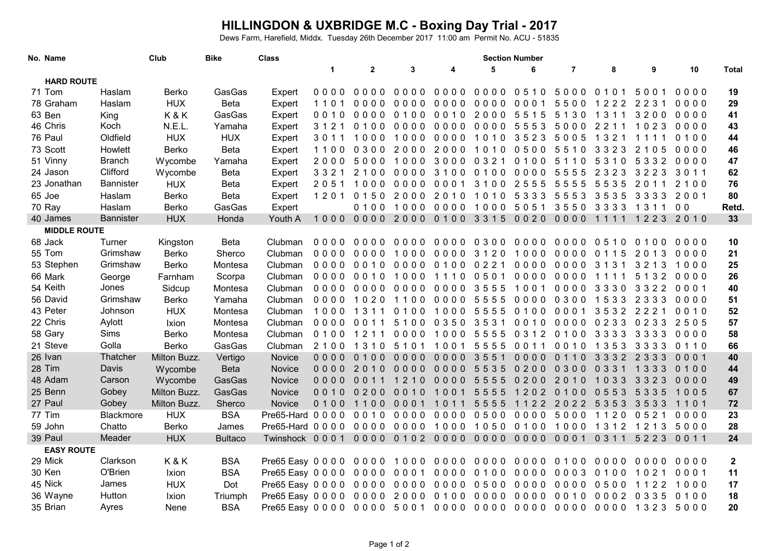## **HILLINGDON & UXBRIDGE M.C - Boxing Day Trial - 2017** Dews Farm, Harefield, Middx. Tuesday 26th December 2017 11:00 am Permit No. ACU - 51835

| No. Name            |  |                  | Club         | <b>Bike</b>    | <b>Class</b>                             | <b>Section Number</b> |              |                    |           |                               |         |                |                               |         |                |              |
|---------------------|--|------------------|--------------|----------------|------------------------------------------|-----------------------|--------------|--------------------|-----------|-------------------------------|---------|----------------|-------------------------------|---------|----------------|--------------|
|                     |  |                  |              |                |                                          | $\mathbf 1$           | $\mathbf{2}$ | 3                  | 4         | 5                             | 6       | $\overline{7}$ | 8                             | 9       | 10             | <b>Total</b> |
| <b>HARD ROUTE</b>   |  |                  |              |                |                                          |                       |              |                    |           |                               |         |                |                               |         |                |              |
| 71 Tom              |  | Haslam           | Berko        | GasGas         | Expert                                   | 0000                  | 0000         | 0000               | 0000      | 0000                          | 0510    | 5000           | 0101                          | 5001    | 0000           | 19           |
| 78 Graham           |  | Haslam           | <b>HUX</b>   | Beta           | Expert                                   | 1101                  | 0000         | 0000               | 0000      | 0000                          | 0001    | 5500           | 1222                          | 2231    | 0000           | 29           |
| 63 Ben              |  | King             | K&K          | GasGas         | Expert                                   | 0010                  | 0000         | 0100               | 0010      | 2000 5515                     |         | 5130           | 1311                          | 3200    | 0000           | 41           |
| 46 Chris            |  | Koch             | N.E.L.       | Yamaha         | Expert                                   | 3 1 2 1               | 0100         | 0000               | 0000      | 0000                          | 5553    | 5000           | 2 2 1 1                       | 1023    | 0000           | 43           |
| 76 Paul             |  | Oldfield         | <b>HUX</b>   | <b>HUX</b>     | Expert                                   | 3011                  | 1000         | 1000               | $0000$    | 1010                          | 3523    | 5005           | 1 3 2 1                       | 1111    | 0100           | 44           |
| 73 Scott            |  | Howlett          | Berko        | <b>Beta</b>    | Expert                                   | 1100                  | 0300         | 2000               | 2000      | 1010                          | 0500    | 5510           | 3323                          | 2 1 0 5 | 0000           | 46           |
| 51 Vinny            |  | <b>Branch</b>    | Wycombe      | Yamaha         | Expert                                   | 2000                  | 5000 1000    |                    | 3000 0321 |                               | 0 1 0 0 | 5110           | 5310                          | 5332    | 0000           | 47           |
| 24 Jason            |  | Clifford         | Wycombe      | <b>Beta</b>    | Expert                                   | 3321                  | 2100         | 0000               | 3100      | 0100                          | 0000    | 5555           | 2 3 2 3                       | 3223    | 3011           | 62           |
| 23 Jonathan         |  | <b>Bannister</b> | <b>HUX</b>   | Beta           | Expert                                   | 2051                  | 1000         | 0000               | 0001      | 3100                          | 2555    | 5555           | 5535                          | 2011    | 2100           | 76           |
| 65 Joe              |  | Haslam           | Berko        | Beta           | Expert                                   | 1201                  | 0150         | 2000               | 2010      | 1010                          | 5333    | 5553           | 3535                          | 3333    | 2001           | 80           |
| 70 Ray              |  | Haslam           | Berko        | GasGas         | Expert                                   |                       | 0100         | 1000               | 0000      | 1000                          | 5051    | 3550           | 3333                          | 1311    | 0 <sub>0</sub> | Retd.        |
| 40 James            |  | <b>Bannister</b> | <b>HUX</b>   | Honda          | Youth A                                  | 1000                  | 0000         | 2000               | 0100 3315 |                               | 0020    | 0000           | 1111                          | 1223    | 2010           | 33           |
| <b>MIDDLE ROUTE</b> |  |                  |              |                |                                          |                       |              |                    |           |                               |         |                |                               |         |                |              |
| 68 Jack             |  | Turner           | Kingston     | <b>Beta</b>    | Clubman                                  | 0000                  | 0000         | 0000               | 0000      | 0300                          | 0000    | 0000           | 0510                          | 0100    | 0000           | 10           |
| 55 Tom              |  | Grimshaw         | Berko        | Sherco         | Clubman                                  | 0000                  | 0000         | 1000               | 0000 3120 |                               | 1000    | 0000           | 0 1 1 5                       | 2013    | 0000           | 21           |
| 53 Stephen          |  | Grimshaw         | Berko        | Montesa        | Clubman                                  |                       | 0000 0010    | 0000               | 0100 0221 |                               | 0000    | 0000           | 3 1 3 1                       | 3213    | 1000           | 25           |
| 66 Mark             |  | George           | Farnham      | Scorpa         | Clubman                                  | 0000                  | 0010         | 1000               | 1110      | 0501                          | 0000    | 0000           | 1111                          | 5 1 3 2 | 0000           | 26           |
| 54 Keith            |  | Jones            | Sidcup       | Montesa        | Clubman                                  |                       | 0000 0000    | 0000               | 0000      | 3555                          | 1001    | 0000           | 3330                          | 3322    | 0001           | 40           |
| 56 David            |  | Grimshaw         | Berko        | Yamaha         | Clubman                                  | 0000                  | 1020         | 1100               | 0000      | 5555                          | 0000    | 0300           | 1533                          | 2 3 3 3 | 0000           | 51           |
| 43 Peter            |  | Johnson          | <b>HUX</b>   | Montesa        | Clubman                                  | 1000                  | 1311         | 0100               | 1000      | 5555                          | 0100    | 0001           | 3532 2221                     |         | 0010           | 52           |
| 22 Chris            |  | Aylott           | Ixion        | Montesa        | Clubman                                  | 0000                  | 0011         | 5100               | 0 3 5 0   | 3531                          | 0010    | 0000           | 0 2 3 3                       | 0233    | 2505           | 57           |
| 58 Gary             |  | <b>Sims</b>      | Berko        | Montesa        | Clubman                                  |                       | 01001211     |                    |           | 0000 1000 5555 0312 0100 3333 |         |                |                               | 3333    | 0000           | 58           |
| 21 Steve            |  | Golla            | Berko        | GasGas         | Clubman                                  | 2100                  | 1310         | 5101               | 1001      | 5555                          | 0011    | 0010           | 1353                          | 3333    | 0110           | 66           |
| 26 Ivan             |  | Thatcher         | Milton Buzz. | Vertigo        | Novice                                   | 0000                  | 0100         | $0000$             | 0000      | 3551                          | $0000$  | 0110           | 3332                          | 2 3 3 3 | $00001$        | 40           |
| 28 Tim              |  | Davis            | Wycombe      | <b>Beta</b>    | Novice                                   | 0000                  | 2010         | $0000$             | $0000$    | 5535                          | 0200    | 0300           | 0 3 3 1                       | 1 3 3 3 | 0100           | 44           |
| 48 Adam             |  | Carson           | Wycombe      | GasGas         | Novice                                   | 0000                  | 0011         | 210<br>$\mathbf 1$ | 0000      | 5555                          | 0200    | 2010           | 1033                          | 3323    | 0000           | 49           |
| 25 Benn             |  | Gobey            | Milton Buzz. | GasGas         | <b>Novice</b>                            | 0010                  | 0200         | 0010               | 1001      | 5555                          | 1202    | 0100           | 0553                          | 5 3 3 5 | 1005           | 67           |
| 27 Paul             |  | Gobey            | Milton Buzz. | Sherco         | Novice                                   | 0100                  | 1100         | 0001               | 1011      | 5555                          | 1122    | 2022 5353      |                               | 3533    | 1101           | 72           |
| 77 Tim              |  | Blackmore        | <b>HUX</b>   | <b>BSA</b>     | Pre65-Hard 0000 0010                     |                       |              | 0000               |           | 0000 0500 0000 5000           |         |                | 1120 0521                     |         | 0000           | 23           |
| 59 John             |  | Chatto           | Berko        | James          | Pre65-Hard 0000 0000                     |                       |              | 0000               |           |                               |         |                | 1000 1050 0100 1000 1312 1213 |         | 5000           | 28           |
| 39 Paul             |  | Meader           | <b>HUX</b>   | <b>Bultaco</b> | Twinshock 0001 0000 0102 0000 0000       |                       |              |                    |           |                               |         | 0000 0001 0311 |                               | 5223    | 0011           | 24           |
| <b>EASY ROUTE</b>   |  |                  |              |                |                                          |                       |              |                    |           |                               |         |                |                               |         |                |              |
| 29 Mick             |  | Clarkson         | K&K          | <b>BSA</b>     | Pre65 Easy 0000 0000                     |                       |              | 1000               | 0000      | 0000                          | 0000    | 0100           | 0000                          | 0000    | 0000           | $\mathbf{2}$ |
| 30 Ken              |  | O'Brien          | Ixion        | <b>BSA</b>     | Pre65 Easy 0000 0000 0001                |                       |              |                    | 0000      | 0100                          | 0000    | 0003           | 0100                          | 1021    | 0001           | 11           |
| 45 Nick             |  | James            | <b>HUX</b>   | Dot            | Pre65 Easy 0000 0000 0000                |                       |              |                    | 0000      | 0500 0000                     |         | 0000           | 0500                          | 1122    | 1000           | 17           |
| 36 Wayne            |  | Hutton           | Ixion        | Triumph        | Pre65 Easy 0000 0000 2000 0100 0000 0000 |                       |              |                    |           |                               |         |                | 0010 0002 0335                |         | 0100           | 18           |
| 35 Brian            |  | Ayres            | Nene         | <b>BSA</b>     |                                          |                       |              |                    |           |                               |         |                |                               |         |                | 20           |
|                     |  |                  |              |                |                                          |                       |              |                    |           |                               |         |                |                               |         |                |              |